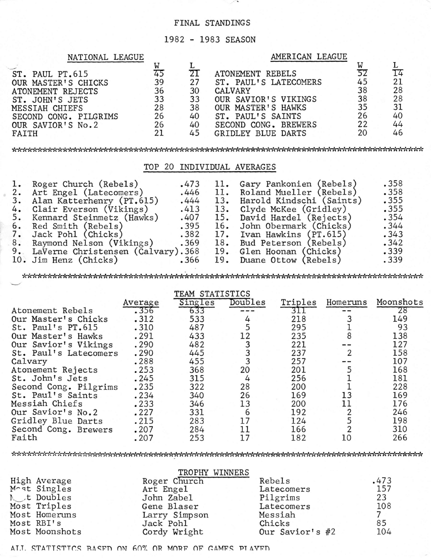### FINAL STANDINGS

## 1982 - 1983 SEASON

### NATIONAL LEAGUE

# AMERICAN LEAGUE

| ST. PAUL PT.615       | 45 | 21 | ATONEMENT REBELS      | 52 | I4 |
|-----------------------|----|----|-----------------------|----|----|
| OUR MASTER'S CHICKS   | 39 | 27 | ST. PAUL'S LATECOMERS | 45 | 21 |
| ATONEMENT REJECTS     | 36 | 30 | CALVARY               | 38 | 28 |
| ST. JOHN'S JETS       | 33 | 33 | OUR SAVIOR'S VIKINGS  | 38 | 28 |
| MESSIAH CHIEFS        | 28 | 38 | OUR MASTER'S HAWKS    | 35 | 31 |
| SECOND CONG. PILGRIMS | 26 | 40 | ST. PAUL'S SAINTS     | 26 | 40 |
| OUR SAVIOR'S No. 2    | 26 | 40 | SECOND CONG. BREWERS  | 22 | 44 |
| FAITH                 | 21 | 45 | GRIDLEY BLUE DARTS    | 20 | 46 |
|                       |    |    |                       |    |    |

TOP 20 INDIVIDUAL AVERAGES

| 1. Roger Church (Rebels)                                | .473 |     | 11. Gary Pankonien (Rebels)  | .358 |
|---------------------------------------------------------|------|-----|------------------------------|------|
| 2. Art Engel (Latecomers)                               | .446 |     | 11. Roland Mueller (Rebels)  | .358 |
| 3. Alan Katterhenry (PT.615)                            | .444 |     | 13. Harold Kindschi (Saints) | .355 |
| 4. Clair Everson (Vikings)                              | .413 |     | 13. Clyde McKee (Gridley)    | .355 |
| 5. Kennard Steinmetz (Hawks)                            | .407 |     | 15. David Hardel (Rejects)   | .354 |
| 6. Red Smith (Rebels)                                   | .395 |     | 16. John Obermark (Chicks)   | .344 |
| 7. Jack Pohl (Chicks)                                   | .382 |     | 17. Ivan Hawkins (PT.615)    | .343 |
| 8. Raymond Nelson (Vikings)                             | .369 |     | 18. Bud Peterson (Rebels)    | .342 |
| 9. LaVerne Christensen (Calvary).368                    |      | 19. | Glen Hoonan (Chicks)         | .339 |
| 10. Jim Henz (Chicks)<br>$\overline{\phantom{0}}$ . 366 |      |     | 19. Duane Ottow (Rebels)     | .339 |

TEAM STATISTICS

|                       | Average | Singles | Doubles | Triples | Homeruns | Moonshots |
|-----------------------|---------|---------|---------|---------|----------|-----------|
| Atonement Rebels      | .356    | 633     |         |         |          | 28        |
| Our Master's Chicks   | .312    | 533     |         | 218     |          | 149       |
| St. Paul's PT.615     | .310    | 487     |         | 295     |          | 93        |
| Our Master's Hawks    | .291    | 433     | 12      | 235     |          | 138       |
| Our Savior's Vikings  | .290    | 482     |         | 221     |          | 127       |
| St. Paul's Latecomers | .290    | 445     |         | 237     | 2        | 158       |
| Calvary               | .288    | 455     |         | 257     |          | 107       |
| Atonement Rejects     | .253    | 368     | 20      | 201     |          | 168       |
| St. John's Jets       | .245    | 315     | 4       | 256     |          | 181       |
| Second Cong. Pilgrims | .235    | 322     | 28      | 200     |          | 228       |
| St. Paul's Saints     | .234    | 340     | 26      | 169     | 13       | 169       |
| Messiah Chiefs        | .233    | 346     | 13      | 200     |          | 176       |
| Our Savior's No. 2    | .227    | 331     | 6       | 192     |          | 246       |
| Gridley Blue Darts    | .215    | 283     | 17      | 124     |          | 198       |
| Second Cong. Brewers  | .207    | 284     | 11      | 166     |          | 310       |
| Faith                 | .207    | 253     | 17      | 182     | 10       | 266       |

|                        | TROPHY WINNERS |                 |      |
|------------------------|----------------|-----------------|------|
| High Average           | Roger Church   | Rebels          | .473 |
| Most Singles           | Art Engel      | Latecomers      | 157  |
| M <sub>t</sub> Doubles | John Zabel     | Pilgrims        | 23   |
| Most Triples           | Gene Blaser    | Latecomers      | 108  |
| Most Homeruns          | Larry Simpson  | Messiah         |      |
| Most RBI's             | Jack Pohl      | Chicks          | 85   |
| Most Moonshots         | Cordy Wright   | Our Savior's #2 | 104  |

ALL STATISTICS BASED ON 60% OR MORE OF GAMES PLAYED